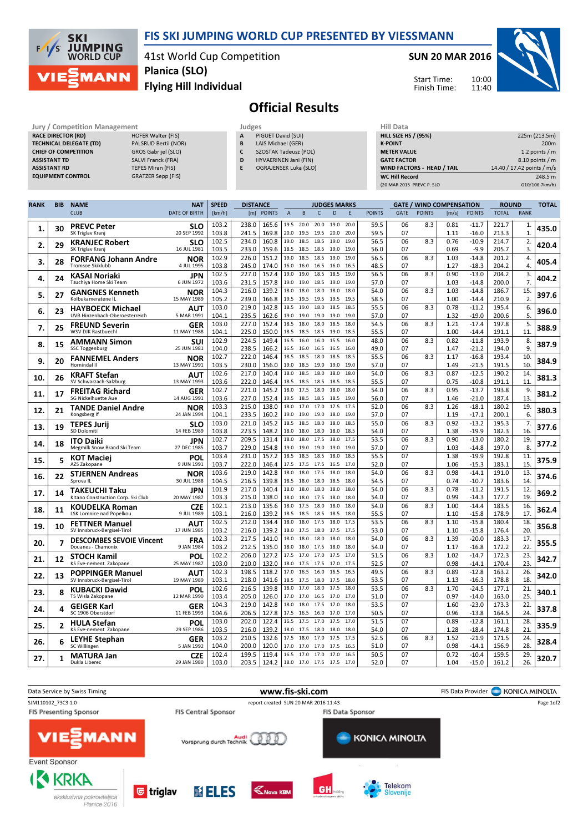

### FIS SKI JUMPING WORLD CUP PRESENTED BY VIESSMANN

41st World Cup Competition Flying Hill Individual Planica (SLO)

#### SUN 20 MAR 2016

Start Time: Finish Time:



## Official Results

| Jury / Competition Management  |                           | Judges       |                       | <b>Hill Data</b>   |
|--------------------------------|---------------------------|--------------|-----------------------|--------------------|
| <b>RACE DIRECTOR (RD)</b>      | <b>HOFER Walter (FIS)</b> | $\mathbf{A}$ | PIGUET David (SUI)    | <b>HILL SIZE H</b> |
| <b>TECHNICAL DELEGATE (TD)</b> | PALSRUD Bertil (NOR)      | B            | LAIS Michael (GER)    | <b>K-POINT</b>     |
| <b>CHIEF OF COMPETITION</b>    | GROS Gabrijel (SLO)       |              | SZOSTAK Tadeusz (POL) | <b>METER VAI</b>   |
| <b>ASSISTANT TD</b>            | SALVI Franck (FRA)        | D            | HYVAERINEN Jani (FIN) | <b>GATE FACT</b>   |
| <b>ASSISTANT RD</b>            | <b>TEPES Miran (FIS)</b>  |              | OGRAJENSEK Luka (SLO) | <b>WIND FACT</b>   |
| <b>EQUIPMENT CONTROL</b>       | GRATZER Sepp (FIS)        |              |                       | WC Hill Re         |
|                                |                           |              |                       |                    |

| HIII Data                   |                            |
|-----------------------------|----------------------------|
| <b>HILL SIZE HS / (95%)</b> | 225m (213.5m)              |
| <b>K-POINT</b>              | 200 <sub>m</sub>           |
| <b>METER VALUE</b>          | 1.2 points $/m$            |
| <b>GATE FACTOR</b>          | 8.10 points / m            |
| WIND FACTORS - HEAD / TAIL  | 14.40 / 17.42 points / m/s |
| <b>WC Hill Record</b>       | 248.5 m                    |
| (20 MAR 2015 PREVC P. SLO   | G10/106.7km/h)             |

| <b>RANK</b> | <b>BIB</b> | <b>NAME</b>                                               | <b>NAT</b>                | <b>SPEED</b>   | <b>DISTANCE</b><br><b>JUDGES MARKS</b> |                |                |                |              |              | <b>GATE / WIND COMPENSATION</b> |               |             |               | <b>ROUND</b> |                    | <b>TOTAL</b>   |                    |       |
|-------------|------------|-----------------------------------------------------------|---------------------------|----------------|----------------------------------------|----------------|----------------|----------------|--------------|--------------|---------------------------------|---------------|-------------|---------------|--------------|--------------------|----------------|--------------------|-------|
|             |            | <b>CLUB</b>                                               | <b>DATE OF BIRTH</b>      | [km/h]         |                                        | [m] POINTS     | $\overline{A}$ | B              | $\mathsf{C}$ | D            | E                               | <b>POINTS</b> | <b>GATE</b> | <b>POINTS</b> | [m/s]        | <b>POINTS</b>      | <b>TOTAL</b>   | <b>RANK</b>        |       |
| 1.          | 30         | <b>PREVC Peter</b>                                        | <b>SLO</b>                | 103.2          | 238.0                                  | 165.6          | 19.5           | 20.0           | 20.0         | 19.0         | 20.0                            | 59.5          | 06          | 8.3           | 0.81         | $-11.7$            | 221.7          | 1.                 | 435.0 |
|             |            | SK Triglav Kranj                                          | 20 SEP 1992               | 103.8<br>102.5 | 241.5<br>234.0                         | 169.8<br>160.8 | 20.0<br>19.0   | 19.5<br>18.5   | 19.5<br>18.5 | 20.0<br>19.0 | 20.0<br>19.0                    | 59.5<br>56.5  | 07<br>06    | 8.3           | 1.11<br>0.76 | $-16.0$<br>$-10.9$ | 213.3<br>214.7 | $\mathbf{1}$<br>2. |       |
| 2.          | 29         | <b>KRANJEC Robert</b><br>SK Triglav Kranj                 | <b>SLO</b><br>16 JUL 1981 | 103.5          | 233.0                                  | 159.6          | 18.5           | 18.5           | 18.5         | 19.0         | 19.0                            | 56.0          | 07          |               | 0.69         | $-9.9$             | 205.7          | 3.                 | 420.4 |
|             |            | <b>FORFANG Johann Andre</b>                               | NOR                       | 102.9          | 226.0                                  | 151.2          | 19.0           | 18.5           | 18.5         | 19.0         | 19.0                            | 56.5          | 06          | 8.3           | 1.03         | $-14.8$            | 201.2          | 4.                 |       |
| 3.          | 28         | <b>Tromsoe Skiklubb</b>                                   | 4 JUL 1995                | 103.8          | 245.0                                  | 174.0          | 16.0           | 16.0           | 16.5 16.0    |              | 16.5                            | 48.5          | 07          |               | 1.27         | $-18.3$            | 204.2          | 4.                 | 405.4 |
|             |            | KASAI Noriaki                                             | JPN                       | 102.5          | 227.0                                  | 152.4          | 19.0           | 19.0           | 18.5         | 18.5         | 19.0                            | 56.5          | 06          | 8.3           | 0.90         | $-13.0$            | 204.2          | 3.                 |       |
| 4.          | 24         | Tsuchiya Home Ski Team                                    | 6 JUN 1972                | 103.6          | 231.5                                  | 157.8          | 19.0           | 19.0           | 18.5         | 19.0         | 19.0                            | 57.0          | 07          |               | 1.03         | $-14.8$            | 200.0          | $\overline{7}$     | 404.2 |
| 5.          | 27         | <b>GANGNES Kenneth</b>                                    | NOR                       | 104.3          | 216.0                                  | 139.2          | 18.0           | 18.0           | 18.0         | 18.0         | 18.0                            | 54.0          | 06          | 8.3           | 1.03         | $-14.8$            | 186.7          | 15.                | 397.6 |
|             |            | Kolbukameratene IL                                        | 15 MAY 1989               | 105.2          | 239.0                                  | 166.8          | 19.5           | 19.5           | 19.5         | 19.5         | 19.5                            | 58.5          | 07          |               | 1.00         | $-14.4$            | 210.9          | $\overline{2}$     |       |
| 6.          | 23         | <b>HAYBOECK Michael</b><br>UVB Hinzenbach-Oberoesterreich | AUT<br>5 MAR 1991         | 103.0<br>104.1 | 219.0<br>235.5                         | 142.8<br>162.6 | 18.5<br>19.0   | 19.0<br>19.0   | 18.0<br>19.0 | 18.5<br>19.0 | 18.5<br>19.0                    | 55.5<br>57.0  | 06<br>07    | 8.3           | 0.78         | $-11.2$<br>$-19.0$ | 195.4<br>200.6 | 6.<br>5.           | 396.0 |
|             |            |                                                           |                           | 103.0          | 227.0                                  | 152.4          | 18.5           | 18.0           | 18.0         | 18.5         | 18.0                            | 54.5          | 06          | 8.3           | 1.32<br>1.21 | $-17.4$            | 197.8          | 5.                 |       |
| 7.          | 25         | <b>FREUND Severin</b><br>WSV DJK Rastbuechl               | GER<br>11 MAY 1988        | 104.1          | 225.0                                  | 150.0          | 18.5           | 18.5           | 18.5         | 19.0         | 18.5                            | 55.5          | 07          |               | 1.00         | $-14.4$            | 191.1          | 11                 | 388.9 |
|             |            | <b>AMMANN Simon</b>                                       | SUI                       | 102.9          | 224.5                                  | 149.4          | 16.5           | 16.0           | 16.0         | 15.5         | 16.0                            | 48.0          | 06          | 8.3           | 0.82         | $-11.8$            | 193.9          | 8.                 |       |
| 8.          | 15         | SSC Toggenburg                                            | 25 JUN 1981               | 104.0          | 238.5                                  | 166.2          | 16.5           | 16.0           | 16.5         | 16.5         | 16.0                            | 49.0          | 07          |               | 1.47         | $-21.2$            | 194.0          | 9.                 | 387.9 |
| 9.          | 20         | <b>FANNEMEL Anders</b>                                    | NOR                       | 102.7          | 222.0                                  | 146.4          | 18.5           | 18.5           | 18.0         | 18.5         | 18.5                            | 55.5          | 06          | 8.3           | 1.17         | $-16.8$            | 193.4          | 10                 | 384.9 |
|             |            | Hornindal II                                              | 13 MAY 1991               | 103.5          | 230.0                                  | 156.0          | 19.0           | 18.5           | 19.0         | 19.0         | 19.0                            | 57.0          | 07          |               | 1.49         | $-21.5$            | 191.5          | 10                 |       |
| 10.         | 26         | <b>KRAFT Stefan</b>                                       | AUT                       | 102.6          | 217.0                                  | 140.4          | 18.0           | 18.5           | 18.0         | 18.0         | 18.0                            | 54.0          | 06          | 8.3           | 0.87         | $-12.5$            | 190.2          | 14.                | 381.3 |
|             |            | SV Schwarzach-Salzburg                                    | 13 MAY 1993               | 103.6          | 222.0<br>221.0                         | 146.4          | 18.5           | 18.5           | 18.5         | 18.5         | 18.5<br>18.0                    | 55.5<br>54.0  | 07          |               | 0.75         | $-10.8$<br>$-13.7$ | 191.1          | 11<br>9.           |       |
| 11.         | 17         | <b>FREITAG Richard</b><br>SG Nickelhuette Aue             | GER<br>14 AUG 1991        | 102.7<br>103.6 | 227.0                                  | 145.2<br>152.4 | 18.0<br>19.5   | 17.5<br>18.5   | 18.0<br>18.5 | 18.0<br>18.5 | 19.0                            | 56.0          | 06<br>07    | 8.3           | 0.95<br>1.46 | $-21.0$            | 193.8<br>187.4 | 13.                | 381.2 |
|             |            |                                                           | NOR                       | 103.3          | 215.0                                  | 138.0          | 18.0           | 17.0           | 17.0         | 17.5         | 17.5                            | 52.0          | 06          | 8.3           | 1.26         | $-18.1$            | 180.2          | 19                 |       |
| 12.         | 21         | <b>TANDE Daniel Andre</b><br>Kongsberg If                 | 24 JAN 1994               | 104.1          | 233.5                                  | 160.2          | 19.0           | 19.0           | 19.0         | 18.0         | 19.0                            | 57.0          | 07          |               | 1.19         | $-17.1$            | 200.1          | 6.                 | 380.3 |
|             |            | <b>TEPES Jurij</b>                                        | <b>SLO</b>                | 103.0          | 221.0                                  | 145.2          | 18.5           | 18.5           | 18.0         | 18.0         | 18.5                            | 55.0          | 06          | 8.3           | 0.92         | $-13.2$            | 195.3          | 7.                 |       |
| 13.         | 19         | SD Dolomiti                                               | 14 FEB 1989               | 103.8          | 223.5                                  | 148.2          | 18.0           | 18.0           | 18.0         | 18.0         | 18.5                            | 54.0          | 07          |               | 1.38         | $-19.9$            | 182.3          | 16                 | 377.6 |
| 14.         | 18         | <b>ITO Daiki</b>                                          | JPN                       | 102.7          | 209.5                                  | 131.4          | 18.0           | 18.0           | 17.5         | 18.0         | 17.5                            | 53.5          | 06          | 8.3           | 0.90         | $-13.0$            | 180.2          | 19.                | 377.2 |
|             |            | Megmilk Snow Brand Ski Team                               | 27 DEC 1985               | 103.7          | 229.0                                  | 154.8          | 19.0           | 19.0           | 19.0         | 19.0         | 19.0                            | 57.0          | 07          |               | 1.03         | $-14.8$            | 197.0          | 8.                 |       |
| 15.         | 5          | <b>KOT Maciei</b>                                         | POL                       | 103.4          | 231.0                                  | 157.2          | 18.5           | 18.5           | 18.5         | 18.0         | 18.5                            | 55.5          | 07          |               | 1.38         | $-19.9$            | 192.8          | 11                 | 375.9 |
|             |            | AZS Zakopane                                              | 9 JUN 1991                | 103.7<br>103.6 | 222.0<br>219.0                         | 146.4<br>142.8 | 17.5<br>18.0   | 17.5<br>18.0   | 17.5<br>17.5 | 16.5<br>18.0 | 17.0<br>18.0                    | 52.0<br>54.0  | 07<br>06    | 8.3           | 1.06<br>0.98 | $-15.3$<br>$-14.1$ | 183.1<br>191.0 | 15<br>13.          |       |
| 16.         | 22         | <b>STJERNEN Andreas</b><br>Sprova IL                      | <b>NOR</b><br>30 JUL 1988 | 104.5          | 216.5                                  | 139.8          | 18.5           | 18.0           | 18.0         | 18.5         | 18.0                            | 54.5          | 07          |               | 0.74         | $-10.7$            | 183.6          | 14                 | 374.6 |
|             |            | TAKEUCHI Taku                                             | JPN                       | 101.9          | 217.0                                  | 140.4          | 18.0           | 18.0           | 18.0         | 18.0         | 18.0                            | 54.0          | 06          | 8.3           | 0.78         | $-11.2$            | 191.5          | 12.                |       |
| 17.         | 14         | Kitano Construction Corp. Ski Club                        | 20 MAY 1987               | 103.3          | 215.0                                  | 138.0          | 18.0           | 18.0           | 17.5         | 18.0         | 18.0                            | 54.0          | 07          |               | 0.99         | $-14.3$            | 177.7          | 19                 | 369.2 |
| 18.         | 11         | <b>KOUDELKA Roman</b>                                     | <b>CZE</b>                | 102.1          | 213.0                                  | 135.6          | 18.0           | 17.5           | 18.0         | 18.0         | 18.0                            | 54.0          | 06          | 8.3           | 1.00         | $-14.4$            | 183.5          | 16                 | 362.4 |
|             |            | LSK Lomnice nad Popelkou                                  | 9 JUL 1989                | 103.1          | 216.0                                  | 139.2          | 18.5           | 18.5           | 18.5         | 18.5         | 18.0                            | 55.5          | 07          |               | 1.10         | $-15.8$            | 178.9          | 17                 |       |
| 19.         | 10         | <b>FETTNER Manuel</b>                                     | AUT                       | 102.5          | 212.0                                  | 134.4          | 18.0           | 18.0           | 17.5         | 18.0         | 17.5                            | 53.5          | 06          | 8.3           | 1.10         | $-15.8$            | 180.4          | 18.                | 356.8 |
|             |            | SV Innsbruck-Bergisel-Tirol                               | 17 JUN 1985               | 103.2<br>102.3 | 216.0<br>217.5                         | 139.2<br>141.0 | 18.0<br>18.0   | 17.5<br>18.0   | 18.0<br>18.0 | 17.5<br>18.0 | 17.5<br>18.0                    | 53.0<br>54.0  | 07<br>06    | 8.3           | 1.10<br>1.39 | $-15.8$<br>$-20.0$ | 176.4<br>183.3 | 20<br>17.          |       |
| 20.         | 7          | <b>DESCOMBES SEVOIE Vincent</b><br>Douanes - Chamonix     | <b>FRA</b><br>9 JAN 1984  | 103.2          | 212.5                                  | 135.0          | 18.0           | 18.0           | 17.5         | 18.0         | 18.0                            | 54.0          | 07          |               | 1.17         | $-16.8$            | 172.2          | 22                 | 355.5 |
|             |            | <b>STOCH Kamil</b>                                        | POL                       | 102.2          | 206.0                                  | 127.2          | 17.5           | 17.0           | 17.0         | 17.5         | 17.0                            | 51.5          | 06          | 8.3           | 1.02         | $-14.7$            | 172.3          | 23.                |       |
| 21.         | 12         | KS Eve-nement Zakopane                                    | 25 MAY 1987               | 103.0          | 210.0                                  | 132.0          | 18.0           | 17.5           | 17.5         | 17.0         | 17.5                            | 52.5          | 07          |               | 0.98         | $-14.1$            | 170.4          | 23.                | 342.7 |
| 22.         | 13         | <b>POPPINGER Manuel</b>                                   | AUT                       | 102.3          | 198.5                                  | 118.2          | 17.0           | 16.5           | 16.0         | 16.5         | 16.5                            | 49.5          | 06          | 8.3           | 0.89         | $-12.8$            | 163.2          | 26.                | 342.0 |
|             |            | SV Innsbruck-Bergisel-Tirol                               | 19 MAY 1989               | 103.1          | 218.0                                  | 141.6          | 18.5           | 17.5           | 18.0         | 17.5         | 18.0                            | 53.5          | 07          |               | 1.13         | $-16.3$            | 178.8          | 18                 |       |
| 23.         | 8          | KUBACKI Dawid                                             | POL                       | 102.6          | 216.5                                  | 139.8          | 18.0           | 17.0           | 18.0         | 17.5         | 18.0                            | 53.5          | 06          | 8.3           | 1.70         | $-24.5$            | 177.1          | 21.                | 340.1 |
|             |            | TS Wisla Zakopane                                         | 12 MAR 1990               | 103.4          | 205.0<br>219.0                         | 126.0          | 17.0           | 17.0           | 16.5         | 17.0         | 17.0                            | 51.0          | 07          |               | 0.97         | $-14.0$<br>$-23.0$ | 163.0          | 25.                |       |
| 24.         | 4          | <b>GEIGER Karl</b><br>SC 1906 Oberstdorf                  | <b>GER</b><br>11 FEB 1993 | 104.3<br>104.6 | 206.5                                  | 142.8<br>127.8 | 18.0<br>17.5   | 18.0<br>16.5   | 17.5<br>16.0 | 17.0<br>17.0 | 18.0<br>17.0                    | 53.5<br>50.5  | 07<br>07    |               | 1.60<br>0.96 | $-13.8$            | 173.3<br>164.5 | 22<br>24           | 337.8 |
|             |            | <b>HULA Stefan</b>                                        | POL                       | 103.0          | 202.0                                  | 122.4          | 16.5           | 17.5           | 17.0         | 17.5         | 17.0                            | 51.5          | 07          |               | 0.89         | $-12.8$            | 161.1          | 28.                |       |
| 25.         | 2          | KS Eve-nement Zakopane                                    | 29 SEP 1986               | 103.5          | 216.0                                  | 139.2          | 18.0           | 17.5           | 18.0         | 18.0         | 18.0                            | 54.0          | 07          |               | 1.28         | $-18.4$            | 174.8          | 21                 | 335.9 |
|             |            | LEYHE Stephan                                             | GER                       | 103.2          | 210.5                                  | 132.6          | 17.5           | 18.0           | 17.0         | 17.5         | 17.5                            | 52.5          | 06          | 8.3           | 1.52         | $-21.9$            | 171.5          | 24.                |       |
| 26.         | 6          | SC Willingen                                              | 5 JAN 1992                | 104.0          | 200.0                                  | 120.0          | 17.0           | 17.0           | 17.0         | 17.5         | 16.5                            | 51.0          | 07          |               | 0.98         | -14.1              | 156.9          | 28                 | 328.4 |
| 27.         | 1          | <b>MATURA Jan</b>                                         | <b>CZE</b>                | 102.4          | 199.5                                  | 119.4          | 16.5           | 17.0           | 17.0         | 17.0         | 16.5                            | 50.5          | 07          |               | 0.72         | $-10.4$            | 159.5          | 29                 | 320.7 |
|             |            | Dukla Liberec                                             | 29 JAN 1980               | 103.0          | 203.5                                  | 124.2          | 18.0           | 17.0 17.5 17.5 |              |              | 17.0                            | 52.0          | 07          |               | 1.04         | $-15.0$            | 161.2          | 26.                |       |